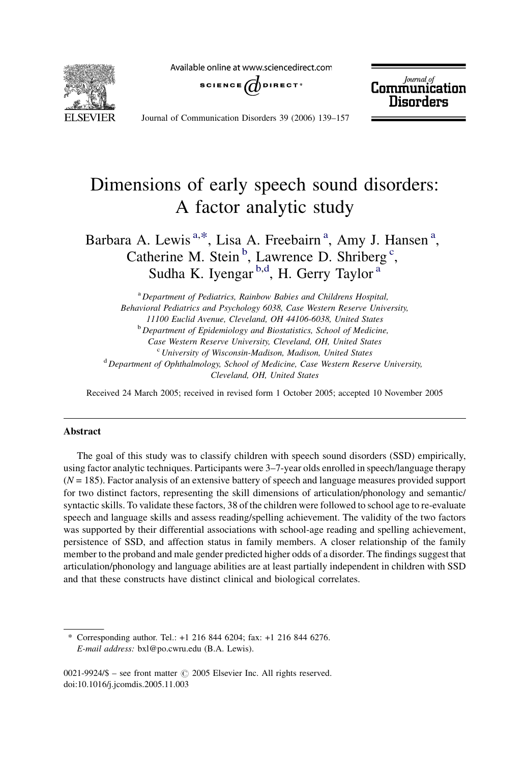Available online at www.sciencedirect.com



SCIENCE  $\bigodot$  DIRECT<sup>®</sup>

Journal of Communication **Disorders** 

Journal of Communication Disorders 39 (2006) 139–157

# Dimensions of early speech sound disorders: A factor analytic study

Barbara A. Lewis<sup>a,\*</sup>, Lisa A. Freebairn<sup>a</sup>, Amy J. Hansen<sup>a</sup>, Catherine M. Stein<sup>b</sup>, Lawrence D. Shriberg<sup>c</sup>, Sudha K. Iyengar b,d, H. Gerry Taylor<sup>a</sup>

<sup>a</sup> Department of Pediatrics, Rainbow Babies and Childrens Hospital, Behavioral Pediatrics and Psychology 6038, Case Western Reserve University, 11100 Euclid Avenue, Cleveland, OH 44106-6038, United States **b** Department of Epidemiology and Biostatistics, School of Medicine, Case Western Reserve University, Cleveland, OH, United States <sup>c</sup> University of Wisconsin-Madison, Madison, United States  $d$  Department of Ophthalmology, School of Medicine, Case Western Reserve University, Cleveland, OH, United States

Received 24 March 2005; received in revised form 1 October 2005; accepted 10 November 2005

## Abstract

The goal of this study was to classify children with speech sound disorders (SSD) empirically, using factor analytic techniques. Participants were 3–7-year olds enrolled in speech/language therapy  $(N = 185)$ . Factor analysis of an extensive battery of speech and language measures provided support for two distinct factors, representing the skill dimensions of articulation/phonology and semantic/ syntactic skills. To validate these factors, 38 of the children were followed to school age to re-evaluate speech and language skills and assess reading/spelling achievement. The validity of the two factors was supported by their differential associations with school-age reading and spelling achievement, persistence of SSD, and affection status in family members. A closer relationship of the family member to the proband and male gender predicted higher odds of a disorder. The findings suggest that articulation/phonology and language abilities are at least partially independent in children with SSD and that these constructs have distinct clinical and biological correlates.

<sup>\*</sup> Corresponding author. Tel.: +1 216 844 6204; fax: +1 216 844 6276. E-mail address: bxl@po.cwru.edu (B.A. Lewis).

 $0021-9924/\$$  – see front matter  $\odot$  2005 Elsevier Inc. All rights reserved. doi:10.1016/j.jcomdis.2005.11.003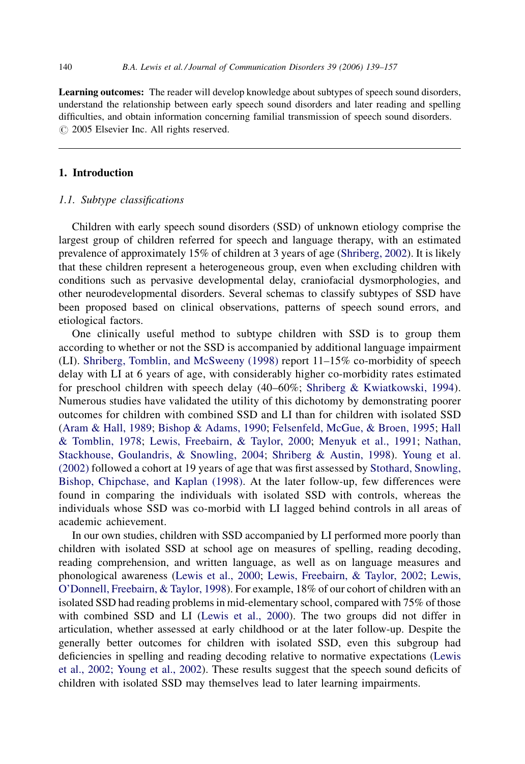Learning outcomes: The reader will develop knowledge about subtypes of speech sound disorders, understand the relationship between early speech sound disorders and later reading and spelling difficulties, and obtain information concerning familial transmission of speech sound disorders.  $\odot$  2005 Elsevier Inc. All rights reserved.

## 1. Introduction

## 1.1. Subtype classifications

Children with early speech sound disorders (SSD) of unknown etiology comprise the largest group of children referred for speech and language therapy, with an estimated prevalence of approximately 15% of children at 3 years of age ([Shriberg, 2002\)](#page-17-0). It is likely that these children represent a heterogeneous group, even when excluding children with conditions such as pervasive developmental delay, craniofacial dysmorphologies, and other neurodevelopmental disorders. Several schemas to classify subtypes of SSD have been proposed based on clinical observations, patterns of speech sound errors, and etiological factors.

One clinically useful method to subtype children with SSD is to group them according to whether or not the SSD is accompanied by additional language impairment (LI). [Shriberg, Tomblin, and McSweeny \(1998\)](#page-17-0) report 11–15% co-morbidity of speech delay with LI at 6 years of age, with considerably higher co-morbidity rates estimated for preschool children with speech delay (40–60%; [Shriberg & Kwiatkowski, 1994](#page-17-0)). Numerous studies have validated the utility of this dichotomy by demonstrating poorer outcomes for children with combined SSD and LI than for children with isolated SSD ([Aram & Hall, 1989](#page-15-0); [Bishop & Adams, 1990](#page-15-0); [Felsenfeld, McGue, & Broen, 1995;](#page-15-0) [Hall](#page-16-0) [& Tomblin, 1978](#page-16-0); [Lewis, Freebairn, & Taylor, 2000](#page-16-0); [Menyuk et al., 1991;](#page-16-0) [Nathan,](#page-16-0) [Stackhouse, Goulandris, & Snowling, 2004;](#page-16-0) [Shriberg & Austin, 1998](#page-17-0)). [Young et al.](#page-18-0) [\(2002\)](#page-18-0) followed a cohort at 19 years of age that was first assessed by [Stothard, Snowling,](#page-17-0) [Bishop, Chipchase, and Kaplan \(1998\)](#page-17-0). At the later follow-up, few differences were found in comparing the individuals with isolated SSD with controls, whereas the individuals whose SSD was co-morbid with LI lagged behind controls in all areas of academic achievement.

In our own studies, children with SSD accompanied by LI performed more poorly than children with isolated SSD at school age on measures of spelling, reading decoding, reading comprehension, and written language, as well as on language measures and phonological awareness ([Lewis et al., 2000;](#page-16-0) [Lewis, Freebairn, & Taylor, 2002;](#page-16-0) [Lewis,](#page-16-0) [O'Donnell, Freebairn, & Taylor, 1998\)](#page-16-0). For example, 18% of our cohort of children with an isolated SSD had reading problems in mid-elementary school, compared with 75% of those with combined SSD and LI [\(Lewis et al., 2000\)](#page-16-0). The two groups did not differ in articulation, whether assessed at early childhood or at the later follow-up. Despite the generally better outcomes for children with isolated SSD, even this subgroup had deficiencies in spelling and reading decoding relative to normative expectations ([Lewis](#page-16-0) [et al., 2002; Young et al., 2002\)](#page-16-0). These results suggest that the speech sound deficits of children with isolated SSD may themselves lead to later learning impairments.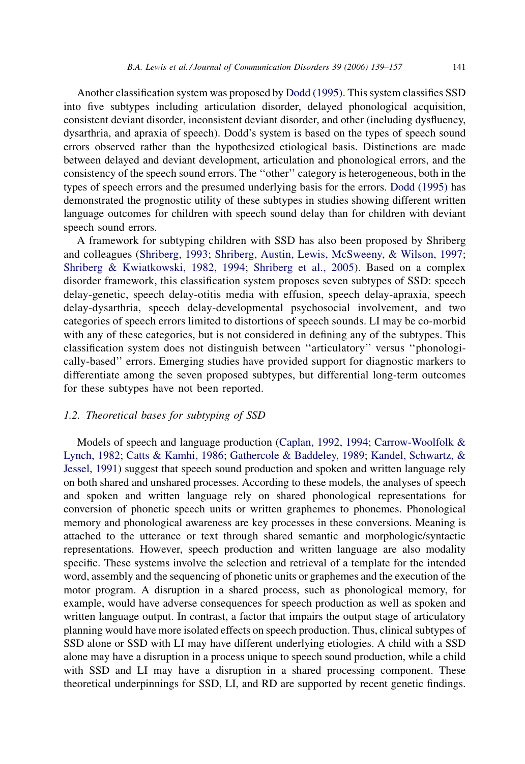Another classification system was proposed by [Dodd \(1995\).](#page-15-0) This system classifies SSD into five subtypes including articulation disorder, delayed phonological acquisition, consistent deviant disorder, inconsistent deviant disorder, and other (including dysfluency, dysarthria, and apraxia of speech). Dodd's system is based on the types of speech sound errors observed rather than the hypothesized etiological basis. Distinctions are made between delayed and deviant development, articulation and phonological errors, and the consistency of the speech sound errors. The ''other'' category is heterogeneous, both in the types of speech errors and the presumed underlying basis for the errors. [Dodd \(1995\)](#page-15-0) has demonstrated the prognostic utility of these subtypes in studies showing different written language outcomes for children with speech sound delay than for children with deviant speech sound errors.

A framework for subtyping children with SSD has also been proposed by Shriberg and colleagues [\(Shriberg, 1993;](#page-17-0) [Shriberg, Austin, Lewis, McSweeny, & Wilson, 1997;](#page-17-0) [Shriberg & Kwiatkowski, 1982, 1994;](#page-17-0) [Shriberg et al., 2005\)](#page-17-0). Based on a complex disorder framework, this classification system proposes seven subtypes of SSD: speech delay-genetic, speech delay-otitis media with effusion, speech delay-apraxia, speech delay-dysarthria, speech delay-developmental psychosocial involvement, and two categories of speech errors limited to distortions of speech sounds. LI may be co-morbid with any of these categories, but is not considered in defining any of the subtypes. This classification system does not distinguish between ''articulatory'' versus ''phonologically-based'' errors. Emerging studies have provided support for diagnostic markers to differentiate among the seven proposed subtypes, but differential long-term outcomes for these subtypes have not been reported.

# 1.2. Theoretical bases for subtyping of SSD

Models of speech and language production [\(Caplan, 1992, 1994](#page-15-0); [Carrow-Woolfolk &](#page-15-0) [Lynch, 1982](#page-15-0); [Catts & Kamhi, 1986](#page-15-0); [Gathercole & Baddeley, 1989](#page-15-0); [Kandel, Schwartz, &](#page-16-0) [Jessel, 1991](#page-16-0)) suggest that speech sound production and spoken and written language rely on both shared and unshared processes. According to these models, the analyses of speech and spoken and written language rely on shared phonological representations for conversion of phonetic speech units or written graphemes to phonemes. Phonological memory and phonological awareness are key processes in these conversions. Meaning is attached to the utterance or text through shared semantic and morphologic/syntactic representations. However, speech production and written language are also modality specific. These systems involve the selection and retrieval of a template for the intended word, assembly and the sequencing of phonetic units or graphemes and the execution of the motor program. A disruption in a shared process, such as phonological memory, for example, would have adverse consequences for speech production as well as spoken and written language output. In contrast, a factor that impairs the output stage of articulatory planning would have more isolated effects on speech production. Thus, clinical subtypes of SSD alone or SSD with LI may have different underlying etiologies. A child with a SSD alone may have a disruption in a process unique to speech sound production, while a child with SSD and LI may have a disruption in a shared processing component. These theoretical underpinnings for SSD, LI, and RD are supported by recent genetic findings.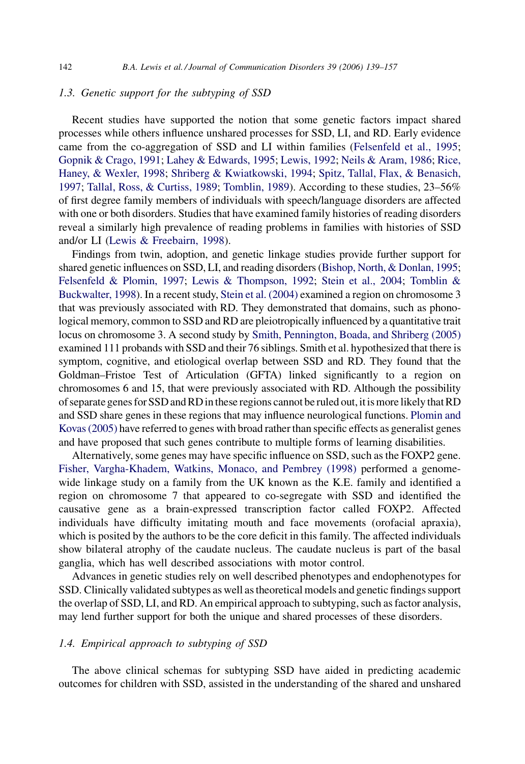# 1.3. Genetic support for the subtyping of SSD

Recent studies have supported the notion that some genetic factors impact shared processes while others influence unshared processes for SSD, LI, and RD. Early evidence came from the co-aggregation of SSD and LI within families [\(Felsenfeld et al., 1995](#page-15-0); [Gopnik & Crago, 1991;](#page-16-0) [Lahey & Edwards, 1995](#page-16-0); [Lewis, 1992](#page-16-0); [Neils & Aram, 1986](#page-16-0); [Rice,](#page-16-0) [Haney, & Wexler, 1998](#page-16-0); [Shriberg & Kwiatkowski, 1994;](#page-17-0) [Spitz, Tallal, Flax, & Benasich,](#page-17-0) [1997](#page-17-0); [Tallal, Ross, & Curtiss, 1989;](#page-17-0) [Tomblin, 1989](#page-17-0)). According to these studies, 23–56% of first degree family members of individuals with speech/language disorders are affected with one or both disorders. Studies that have examined family histories of reading disorders reveal a similarly high prevalence of reading problems in families with histories of SSD and/or LI [\(Lewis & Freebairn, 1998](#page-16-0)).

Findings from twin, adoption, and genetic linkage studies provide further support for shared genetic influences on SSD, LI, and reading disorders ([Bishop, North, & Donlan, 1995](#page-15-0); [Felsenfeld & Plomin, 1997](#page-15-0); [Lewis & Thompson, 1992;](#page-16-0) [Stein et al., 2004;](#page-17-0) [Tomblin &](#page-17-0) [Buckwalter, 1998](#page-17-0)). In a recent study, [Stein et al. \(2004\)](#page-17-0) examined a region on chromosome 3 that was previously associated with RD. They demonstrated that domains, such as phonological memory, common to SSD and RD are pleiotropically influenced by a quantitative trait locus on chromosome 3. A second study by [Smith, Pennington, Boada, and Shriberg \(2005\)](#page-17-0) examined 111 probands with SSD and their 76 siblings. Smith et al. hypothesized that there is symptom, cognitive, and etiological overlap between SSD and RD. They found that the Goldman–Fristoe Test of Articulation (GFTA) linked significantly to a region on chromosomes 6 and 15, that were previously associated with RD. Although the possibility of separate genes for SSD and RD in these regions cannot be ruled out, it is more likely that RD and SSD share genes in these regions that may influence neurological functions. [Plomin and](#page-16-0) [Kovas \(2005\)](#page-16-0) have referred to genes with broad rather than specific effects as generalist genes and have proposed that such genes contribute to multiple forms of learning disabilities.

Alternatively, some genes may have specific influence on SSD, such as the FOXP2 gene. [Fisher, Vargha-Khadem, Watkins, Monaco, and Pembrey \(1998\)](#page-15-0) performed a genomewide linkage study on a family from the UK known as the K.E. family and identified a region on chromosome 7 that appeared to co-segregate with SSD and identified the causative gene as a brain-expressed transcription factor called FOXP2. Affected individuals have difficulty imitating mouth and face movements (orofacial apraxia), which is posited by the authors to be the core deficit in this family. The affected individuals show bilateral atrophy of the caudate nucleus. The caudate nucleus is part of the basal ganglia, which has well described associations with motor control.

Advances in genetic studies rely on well described phenotypes and endophenotypes for SSD. Clinically validated subtypes as well as theoretical models and genetic findings support the overlap of SSD, LI, and RD. An empirical approach to subtyping, such as factor analysis, may lend further support for both the unique and shared processes of these disorders.

# 1.4. Empirical approach to subtyping of SSD

The above clinical schemas for subtyping SSD have aided in predicting academic outcomes for children with SSD, assisted in the understanding of the shared and unshared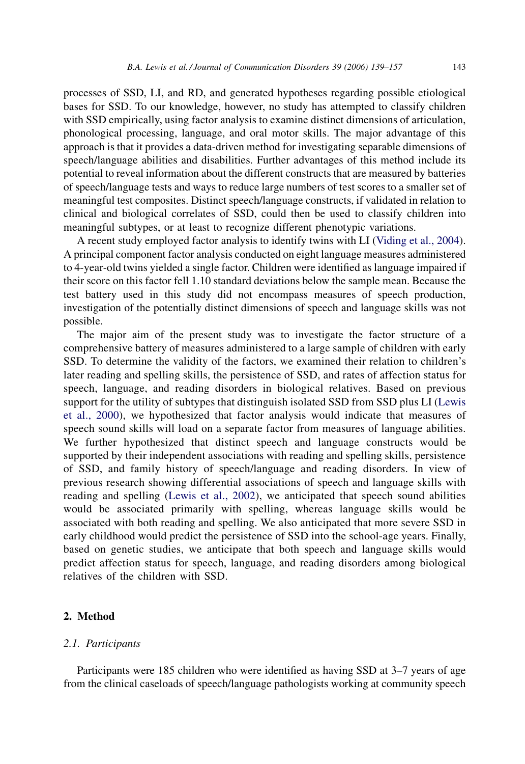processes of SSD, LI, and RD, and generated hypotheses regarding possible etiological bases for SSD. To our knowledge, however, no study has attempted to classify children with SSD empirically, using factor analysis to examine distinct dimensions of articulation, phonological processing, language, and oral motor skills. The major advantage of this approach is that it provides a data-driven method for investigating separable dimensions of speech/language abilities and disabilities. Further advantages of this method include its potential to reveal information about the different constructs that are measured by batteries of speech/language tests and ways to reduce large numbers of test scores to a smaller set of meaningful test composites. Distinct speech/language constructs, if validated in relation to clinical and biological correlates of SSD, could then be used to classify children into meaningful subtypes, or at least to recognize different phenotypic variations.

A recent study employed factor analysis to identify twins with LI [\(Viding et al., 2004\)](#page-17-0). A principal component factor analysis conducted on eight language measures administered to 4-year-old twins yielded a single factor. Children were identified as language impaired if their score on this factor fell 1.10 standard deviations below the sample mean. Because the test battery used in this study did not encompass measures of speech production, investigation of the potentially distinct dimensions of speech and language skills was not possible.

The major aim of the present study was to investigate the factor structure of a comprehensive battery of measures administered to a large sample of children with early SSD. To determine the validity of the factors, we examined their relation to children's later reading and spelling skills, the persistence of SSD, and rates of affection status for speech, language, and reading disorders in biological relatives. Based on previous support for the utility of subtypes that distinguish isolated SSD from SSD plus LI ([Lewis](#page-16-0) [et al., 2000](#page-16-0)), we hypothesized that factor analysis would indicate that measures of speech sound skills will load on a separate factor from measures of language abilities. We further hypothesized that distinct speech and language constructs would be supported by their independent associations with reading and spelling skills, persistence of SSD, and family history of speech/language and reading disorders. In view of previous research showing differential associations of speech and language skills with reading and spelling [\(Lewis et al., 2002\)](#page-16-0), we anticipated that speech sound abilities would be associated primarily with spelling, whereas language skills would be associated with both reading and spelling. We also anticipated that more severe SSD in early childhood would predict the persistence of SSD into the school-age years. Finally, based on genetic studies, we anticipate that both speech and language skills would predict affection status for speech, language, and reading disorders among biological relatives of the children with SSD.

# 2. Method

#### 2.1. Participants

Participants were 185 children who were identified as having SSD at 3–7 years of age from the clinical caseloads of speech/language pathologists working at community speech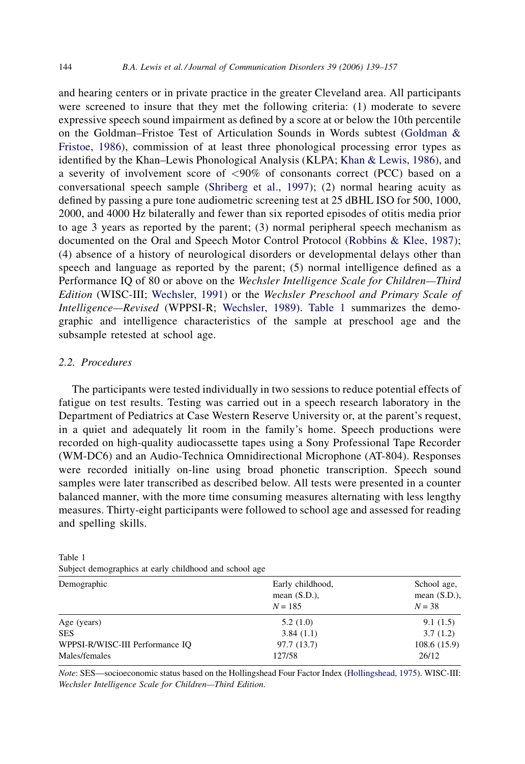and hearing centers or in private practice in the greater Cleveland area. All participants were screened to insure that they met the following criteria: (1) moderate to severe expressive speech sound impairment as defined by a score at or below the 10th percentile on the Goldman–Fristoe Test of Articulation Sounds in Words subtest ([Goldman &](#page-16-0) [Fristoe, 1986](#page-16-0)), commission of at least three phonological processing error types as identified by the Khan–Lewis Phonological Analysis (KLPA; [Khan & Lewis, 1986\)](#page-16-0), and a severity of involvement score of <90% of consonants correct (PCC) based on a conversational speech sample ([Shriberg et al., 1997\)](#page-17-0); (2) normal hearing acuity as defined by passing a pure tone audiometric screening test at 25 dBHL ISO for 500, 1000, 2000, and 4000 Hz bilaterally and fewer than six reported episodes of otitis media prior to age 3 years as reported by the parent; (3) normal peripheral speech mechanism as documented on the Oral and Speech Motor Control Protocol ([Robbins & Klee, 1987\)](#page-17-0); (4) absence of a history of neurological disorders or developmental delays other than speech and language as reported by the parent; (5) normal intelligence defined as a Performance IQ of 80 or above on the Wechsler Intelligence Scale for Children—Third Edition (WISC-III; [Wechsler, 1991\)](#page-17-0) or the Wechsler Preschool and Primary Scale of Intelligence—Revised (WPPSI-R; [Wechsler, 1989](#page-17-0)). Table 1 summarizes the demographic and intelligence characteristics of the sample at preschool age and the subsample retested at school age.

#### 2.2. Procedures

The participants were tested individually in two sessions to reduce potential effects of fatigue on test results. Testing was carried out in a speech research laboratory in the Department of Pediatrics at Case Western Reserve University or, at the parent's request, in a quiet and adequately lit room in the family's home. Speech productions were recorded on high-quality audiocassette tapes using a Sony Professional Tape Recorder (WM-DC6) and an Audio-Technica Omnidirectional Microphone (AT-804). Responses were recorded initially on-line using broad phonetic transcription. Speech sound samples were later transcribed as described below. All tests were presented in a counter balanced manner, with the more time consuming measures alternating with less lengthy measures. Thirty-eight participants were followed to school age and assessed for reading and spelling skills.

| Demographic                     | Early childhood,<br>mean $(S.D.)$ ,<br>$N = 185$ | School age,<br>mean $(S.D.)$ ,<br>$N = 38$ |  |
|---------------------------------|--------------------------------------------------|--------------------------------------------|--|
| Age (years)                     | 5.2(1.0)                                         | 9.1(1.5)                                   |  |
| <b>SES</b>                      | 3.84(1.1)                                        | 3.7(1.2)                                   |  |
| WPPSI-R/WISC-III Performance IO | 97.7 (13.7)                                      | 108.6(15.9)                                |  |
| Males/females                   | 127/58                                           | 26/12                                      |  |

Table 1 Subject demographics at early childhood and school age

Note: SES—socioeconomic status based on the Hollingshead Four Factor Index ([Hollingshead, 1975\)](#page-16-0). WISC-III: Wechsler Intelligence Scale for Children—Third Edition.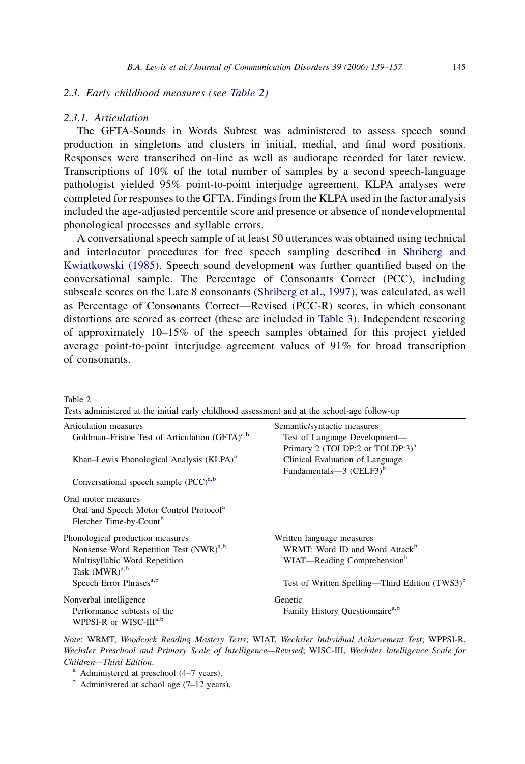# <span id="page-6-0"></span>2.3. Early childhood measures (see Table 2)

## 2.3.1. Articulation

The GFTA-Sounds in Words Subtest was administered to assess speech sound production in singletons and clusters in initial, medial, and final word positions. Responses were transcribed on-line as well as audiotape recorded for later review. Transcriptions of 10% of the total number of samples by a second speech-language pathologist yielded 95% point-to-point interjudge agreement. KLPA analyses were completed for responses to the GFTA. Findings from the KLPA used in the factor analysis included the age-adjusted percentile score and presence or absence of nondevelopmental phonological processes and syllable errors.

A conversational speech sample of at least 50 utterances was obtained using technical and interlocutor procedures for free speech sampling described in [Shriberg and](#page-17-0) [Kwiatkowski \(1985\).](#page-17-0) Speech sound development was further quantified based on the conversational sample. The Percentage of Consonants Correct (PCC), including subscale scores on the Late 8 consonants ([Shriberg et al., 1997\)](#page-17-0), was calculated, as well as Percentage of Consonants Correct—Revised (PCC-R) scores, in which consonant distortions are scored as correct (these are included in [Table 3\)](#page-7-0). Independent rescoring of approximately 10–15% of the speech samples obtained for this project yielded average point-to-point interjudge agreement values of 91% for broad transcription of consonants.

Table 2

Tests administered at the initial early childhood assessment and at the school-age follow-up

| <b>Articulation</b> measures                                                                                                                  | Semantic/syntactic measures                                                                                               |
|-----------------------------------------------------------------------------------------------------------------------------------------------|---------------------------------------------------------------------------------------------------------------------------|
| Goldman-Fristoe Test of Articulation (GFTA) <sup>a,b</sup>                                                                                    | Test of Language Development—                                                                                             |
| Khan-Lewis Phonological Analysis (KLPA) <sup>a</sup>                                                                                          | Primary 2 (TOLDP:2 or TOLDP:3) <sup>a</sup><br>Clinical Evaluation of Language<br>Fundamentals- $-3$ (CELF3) <sup>b</sup> |
| Conversational speech sample (PCC) <sup>a,b</sup>                                                                                             |                                                                                                                           |
| Oral motor measures<br>Oral and Speech Motor Control Protocol <sup>a</sup><br>Fletcher Time-by-Count <sup>b</sup>                             |                                                                                                                           |
| Phonological production measures<br>Nonsense Word Repetition Test (NWR) <sup>a,b</sup><br>Multisyllabic Word Repetition<br>Task $(MWR)^{a,b}$ | Written language measures<br>WRMT: Word ID and Word Attack <sup>b</sup><br>WIAT—Reading Comprehension <sup>b</sup>        |
| Speech Error Phrases <sup>a,b</sup>                                                                                                           | Test of Written Spelling—Third Edition (TWS3) <sup>b</sup>                                                                |
| Nonverbal intelligence<br>Performance subtests of the<br>WPPSI-R or WISC-III <sup>a,b</sup>                                                   | Genetic<br>Family History Questionnaire <sup>a,b</sup>                                                                    |

Note: WRMT, Woodcock Reading Mastery Tests; WIAT, Wechsler Individual Achievement Test; WPPSI-R, Wechsler Preschool and Primary Scale of Intelligence—Revised; WISC-III, Wechsler Intelligence Scale for Children—Third Edition.<br><sup>a</sup> Administered at preschool (4–7 years).<br><sup>b</sup> Administered at school age (7–12 years).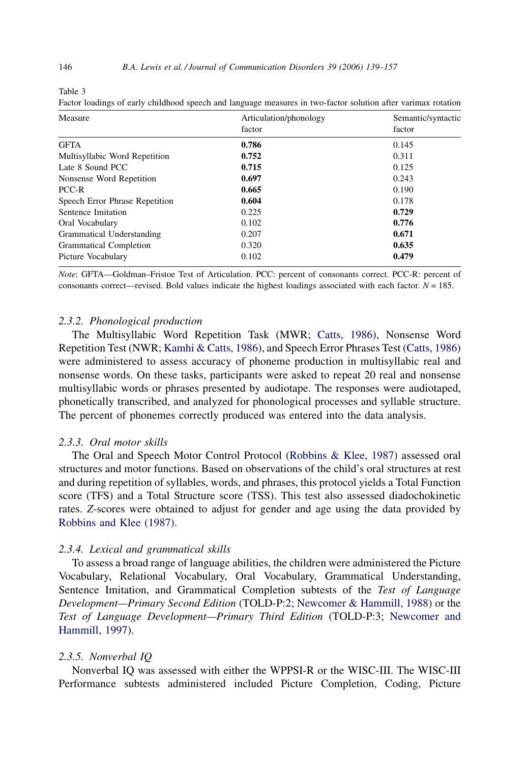<span id="page-7-0"></span>

| Factor loadings of early childhood speech and language measures in two-factor solution after varimax rotation |  |
|---------------------------------------------------------------------------------------------------------------|--|
|---------------------------------------------------------------------------------------------------------------|--|

| Measure                        | Articulation/phonology | Semantic/syntactic<br>factor |  |
|--------------------------------|------------------------|------------------------------|--|
|                                | factor                 |                              |  |
| <b>GFTA</b>                    | 0.786                  | 0.145                        |  |
| Multisyllabic Word Repetition  | 0.752                  | 0.311                        |  |
| Late 8 Sound PCC               | 0.715                  | 0.125                        |  |
| Nonsense Word Repetition       | 0.697                  | 0.243                        |  |
| PCC-R                          | 0.665                  | 0.190                        |  |
| Speech Error Phrase Repetition | 0.604                  | 0.178                        |  |
| Sentence Imitation             | 0.225                  | 0.729                        |  |
| Oral Vocabulary                | 0.102                  | 0.776                        |  |
| Grammatical Understanding      | 0.207                  | 0.671                        |  |
| <b>Grammatical Completion</b>  | 0.320                  | 0.635                        |  |
| Picture Vocabulary             | 0.102                  | 0.479                        |  |

Note: GFTA—Goldman–Fristoe Test of Articulation. PCC: percent of consonants correct. PCC-R: percent of consonants correct—revised. Bold values indicate the highest loadings associated with each factor.  $N = 185$ .

# 2.3.2. Phonological production

The Multisyllabic Word Repetition Task (MWR; [Catts, 1986](#page-15-0)), Nonsense Word Repetition Test (NWR; [Kamhi & Catts, 1986](#page-16-0)), and Speech Error Phrases Test ([Catts, 1986\)](#page-15-0) were administered to assess accuracy of phoneme production in multisyllabic real and nonsense words. On these tasks, participants were asked to repeat 20 real and nonsense multisyllabic words or phrases presented by audiotape. The responses were audiotaped, phonetically transcribed, and analyzed for phonological processes and syllable structure. The percent of phonemes correctly produced was entered into the data analysis.

#### 2.3.3. Oral motor skills

The Oral and Speech Motor Control Protocol [\(Robbins & Klee, 1987](#page-17-0)) assessed oral structures and motor functions. Based on observations of the child's oral structures at rest and during repetition of syllables, words, and phrases, this protocol yields a Total Function score (TFS) and a Total Structure score (TSS). This test also assessed diadochokinetic rates. Z-scores were obtained to adjust for gender and age using the data provided by [Robbins and Klee \(1987\).](#page-17-0)

## 2.3.4. Lexical and grammatical skills

To assess a broad range of language abilities, the children were administered the Picture Vocabulary, Relational Vocabulary, Oral Vocabulary, Grammatical Understanding, Sentence Imitation, and Grammatical Completion subtests of the Test of Language Development—Primary Second Edition (TOLD-P:2; [Newcomer & Hammill, 1988\)](#page-16-0) or the Test of Language Development—Primary Third Edition (TOLD-P:3; [Newcomer and](#page-16-0) [Hammill, 1997\)](#page-16-0).

## 2.3.5. Nonverbal IQ

Nonverbal IQ was assessed with either the WPPSI-R or the WISC-III. The WISC-III Performance subtests administered included Picture Completion, Coding, Picture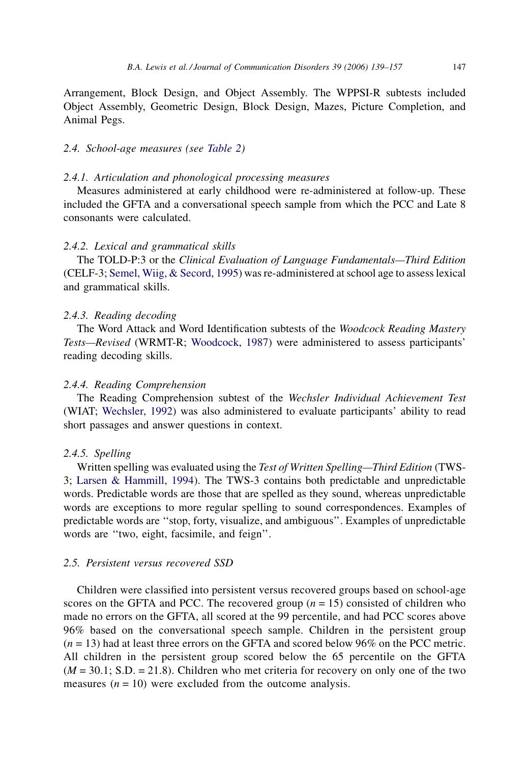Arrangement, Block Design, and Object Assembly. The WPPSI-R subtests included Object Assembly, Geometric Design, Block Design, Mazes, Picture Completion, and Animal Pegs.

## 2.4. School-age measures (see [Table 2](#page-6-0))

## 2.4.1. Articulation and phonological processing measures

Measures administered at early childhood were re-administered at follow-up. These included the GFTA and a conversational speech sample from which the PCC and Late 8 consonants were calculated.

#### 2.4.2. Lexical and grammatical skills

The TOLD-P:3 or the Clinical Evaluation of Language Fundamentals—Third Edition (CELF-3; [Semel, Wiig, & Secord, 1995\)](#page-17-0) was re-administered at school age to assess lexical and grammatical skills.

## 2.4.3. Reading decoding

The Word Attack and Word Identification subtests of the Woodcock Reading Mastery Tests—Revised (WRMT-R; [Woodcock, 1987](#page-18-0)) were administered to assess participants' reading decoding skills.

#### 2.4.4. Reading Comprehension

The Reading Comprehension subtest of the Wechsler Individual Achievement Test (WIAT; [Wechsler, 1992\)](#page-18-0) was also administered to evaluate participants' ability to read short passages and answer questions in context.

#### 2.4.5. Spelling

Written spelling was evaluated using the Test of Written Spelling—Third Edition (TWS-3; [Larsen & Hammill, 1994\)](#page-16-0). The TWS-3 contains both predictable and unpredictable words. Predictable words are those that are spelled as they sound, whereas unpredictable words are exceptions to more regular spelling to sound correspondences. Examples of predictable words are ''stop, forty, visualize, and ambiguous''. Examples of unpredictable words are ''two, eight, facsimile, and feign''.

#### 2.5. Persistent versus recovered SSD

Children were classified into persistent versus recovered groups based on school-age scores on the GFTA and PCC. The recovered group  $(n = 15)$  consisted of children who made no errors on the GFTA, all scored at the 99 percentile, and had PCC scores above 96% based on the conversational speech sample. Children in the persistent group  $(n = 13)$  had at least three errors on the GFTA and scored below 96% on the PCC metric. All children in the persistent group scored below the 65 percentile on the GFTA  $(M = 30.1; S.D. = 21.8)$ . Children who met criteria for recovery on only one of the two measures  $(n = 10)$  were excluded from the outcome analysis.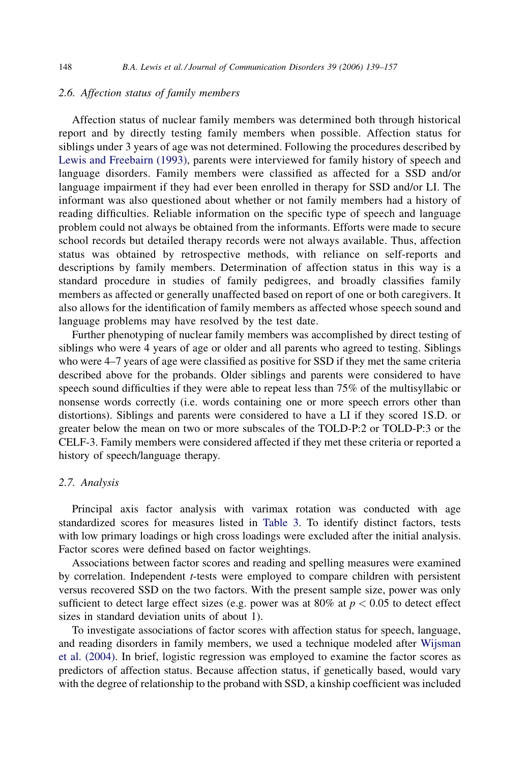# 2.6. Affection status of family members

Affection status of nuclear family members was determined both through historical report and by directly testing family members when possible. Affection status for siblings under 3 years of age was not determined. Following the procedures described by [Lewis and Freebairn \(1993\),](#page-16-0) parents were interviewed for family history of speech and language disorders. Family members were classified as affected for a SSD and/or language impairment if they had ever been enrolled in therapy for SSD and/or LI. The informant was also questioned about whether or not family members had a history of reading difficulties. Reliable information on the specific type of speech and language problem could not always be obtained from the informants. Efforts were made to secure school records but detailed therapy records were not always available. Thus, affection status was obtained by retrospective methods, with reliance on self-reports and descriptions by family members. Determination of affection status in this way is a standard procedure in studies of family pedigrees, and broadly classifies family members as affected or generally unaffected based on report of one or both caregivers. It also allows for the identification of family members as affected whose speech sound and language problems may have resolved by the test date.

Further phenotyping of nuclear family members was accomplished by direct testing of siblings who were 4 years of age or older and all parents who agreed to testing. Siblings who were 4–7 years of age were classified as positive for SSD if they met the same criteria described above for the probands. Older siblings and parents were considered to have speech sound difficulties if they were able to repeat less than 75% of the multisyllabic or nonsense words correctly (i.e. words containing one or more speech errors other than distortions). Siblings and parents were considered to have a LI if they scored 1S.D. or greater below the mean on two or more subscales of the TOLD-P:2 or TOLD-P:3 or the CELF-3. Family members were considered affected if they met these criteria or reported a history of speech/language therapy.

## 2.7. Analysis

Principal axis factor analysis with varimax rotation was conducted with age standardized scores for measures listed in [Table 3](#page-7-0). To identify distinct factors, tests with low primary loadings or high cross loadings were excluded after the initial analysis. Factor scores were defined based on factor weightings.

Associations between factor scores and reading and spelling measures were examined by correlation. Independent *t*-tests were employed to compare children with persistent versus recovered SSD on the two factors. With the present sample size, power was only sufficient to detect large effect sizes (e.g. power was at 80% at  $p < 0.05$  to detect effect sizes in standard deviation units of about 1).

To investigate associations of factor scores with affection status for speech, language, and reading disorders in family members, we used a technique modeled after [Wijsman](#page-18-0) [et al. \(2004\).](#page-18-0) In brief, logistic regression was employed to examine the factor scores as predictors of affection status. Because affection status, if genetically based, would vary with the degree of relationship to the proband with SSD, a kinship coefficient was included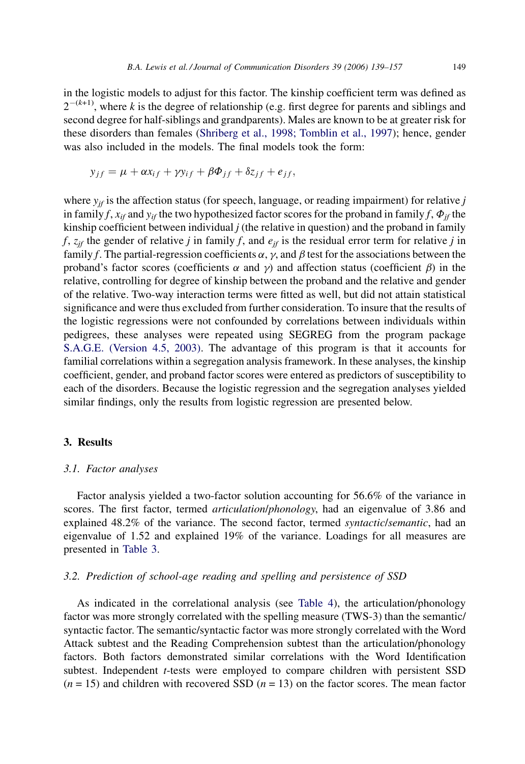in the logistic models to adjust for this factor. The kinship coefficient term was defined as  $2^{-(k+1)}$ , where k is the degree of relationship (e.g. first degree for parents and siblings and second degree for half-siblings and grandparents). Males are known to be at greater risk for these disorders than females [\(Shriberg et al., 1998; Tomblin et al., 1997\)](#page-17-0); hence, gender was also included in the models. The final models took the form:

$$
y_{jf} = \mu + \alpha x_{if} + \gamma y_{if} + \beta \Phi_{jf} + \delta z_{jf} + e_{jf},
$$

where  $y_{if}$  is the affection status (for speech, language, or reading impairment) for relative j in family f,  $x_{if}$  and  $y_{if}$  the two hypothesized factor scores for the proband in family f,  $\Phi_{if}$  the kinship coefficient between individual  $j$  (the relative in question) and the proband in family f,  $z_{if}$  the gender of relative j in family f, and  $e_{if}$  is the residual error term for relative j in family f. The partial-regression coefficients  $\alpha$ ,  $\gamma$ , and  $\beta$  test for the associations between the proband's factor scores (coefficients  $\alpha$  and  $\gamma$ ) and affection status (coefficient  $\beta$ ) in the relative, controlling for degree of kinship between the proband and the relative and gender of the relative. Two-way interaction terms were fitted as well, but did not attain statistical significance and were thus excluded from further consideration. To insure that the results of the logistic regressions were not confounded by correlations between individuals within pedigrees, these analyses were repeated using SEGREG from the program package [S.A.G.E. \(Version 4.5, 2003\).](#page-17-0) The advantage of this program is that it accounts for familial correlations within a segregation analysis framework. In these analyses, the kinship coefficient, gender, and proband factor scores were entered as predictors of susceptibility to each of the disorders. Because the logistic regression and the segregation analyses yielded similar findings, only the results from logistic regression are presented below.

### 3. Results

# 3.1. Factor analyses

Factor analysis yielded a two-factor solution accounting for 56.6% of the variance in scores. The first factor, termed *articulation/phonology*, had an eigenvalue of 3.86 and explained 48.2% of the variance. The second factor, termed syntactic/semantic, had an eigenvalue of 1.52 and explained 19% of the variance. Loadings for all measures are presented in [Table 3.](#page-7-0)

## 3.2. Prediction of school-age reading and spelling and persistence of SSD

As indicated in the correlational analysis (see [Table 4](#page-11-0)), the articulation/phonology factor was more strongly correlated with the spelling measure (TWS-3) than the semantic/ syntactic factor. The semantic/syntactic factor was more strongly correlated with the Word Attack subtest and the Reading Comprehension subtest than the articulation/phonology factors. Both factors demonstrated similar correlations with the Word Identification subtest. Independent t-tests were employed to compare children with persistent SSD  $(n = 15)$  and children with recovered SSD  $(n = 13)$  on the factor scores. The mean factor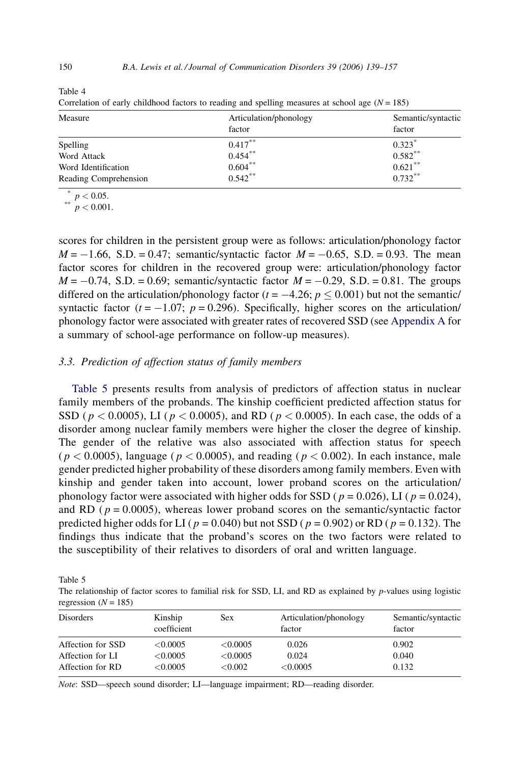| Measure               | Articulation/phonology<br>factor | Semantic/syntactic<br>factor |
|-----------------------|----------------------------------|------------------------------|
| Spelling              | $0.417***$                       | $0.323*$                     |
| Word Attack           | $0.454***$                       | $0.582***$                   |
| Word Identification   | $0.604***$                       | $0.621***$                   |
| Reading Comprehension | $0.542$ **                       | $0.732***$                   |

Table 4

Correlation of early childhood factors to reading and spelling measures at school age  $(N = 185)$ 

 $p < 0.05$ .

 $p < 0.001$ .

scores for children in the persistent group were as follows: articulation/phonology factor  $M = -1.66$ , S.D. = 0.47; semantic/syntactic factor  $M = -0.65$ , S.D. = 0.93. The mean factor scores for children in the recovered group were: articulation/phonology factor  $M = -0.74$ , S.D. = 0.69; semantic/syntactic factor  $M = -0.29$ , S.D. = 0.81. The groups differed on the articulation/phonology factor ( $t = -4.26$ ;  $p \le 0.001$ ) but not the semantic/ syntactic factor ( $t = -1.07$ ;  $p = 0.296$ ). Specifically, higher scores on the articulation/ phonology factor were associated with greater rates of recovered SSD (see [Appendix A](#page-14-0) for a summary of school-age performance on follow-up measures).

## 3.3. Prediction of affection status of family members

Table 5 presents results from analysis of predictors of affection status in nuclear family members of the probands. The kinship coefficient predicted affection status for SSD ( $p < 0.0005$ ), LI ( $p < 0.0005$ ), and RD ( $p < 0.0005$ ). In each case, the odds of a disorder among nuclear family members were higher the closer the degree of kinship. The gender of the relative was also associated with affection status for speech  $(p < 0.0005)$ , language ( $p < 0.0005$ ), and reading ( $p < 0.002$ ). In each instance, male gender predicted higher probability of these disorders among family members. Even with kinship and gender taken into account, lower proband scores on the articulation/ phonology factor were associated with higher odds for SSD ( $p = 0.026$ ), LI ( $p = 0.024$ ), and RD ( $p = 0.0005$ ), whereas lower proband scores on the semantic/syntactic factor predicted higher odds for LI ( $p = 0.040$ ) but not SSD ( $p = 0.902$ ) or RD ( $p = 0.132$ ). The findings thus indicate that the proband's scores on the two factors were related to the susceptibility of their relatives to disorders of oral and written language.

Table 5

The relationship of factor scores to familial risk for SSD, LI, and RD as explained by p-values using logistic regression  $(N = 185)$ 

| <b>Disorders</b>  | Kinship<br><b>Sex</b><br>coefficient |          | Articulation/phonology<br>factor | Semantic/syntactic<br>factor |  |
|-------------------|--------------------------------------|----------|----------------------------------|------------------------------|--|
| Affection for SSD | < 0.0005                             | <0.0005  | 0.026                            | 0.902                        |  |
| Affection for LI  | < 0.0005                             | < 0.0005 | 0.024                            | 0.040                        |  |
| Affection for RD  | < 0.0005                             | < 0.002  | < 0.0005                         | 0.132                        |  |

Note: SSD—speech sound disorder; LI—language impairment; RD—reading disorder.

<span id="page-11-0"></span>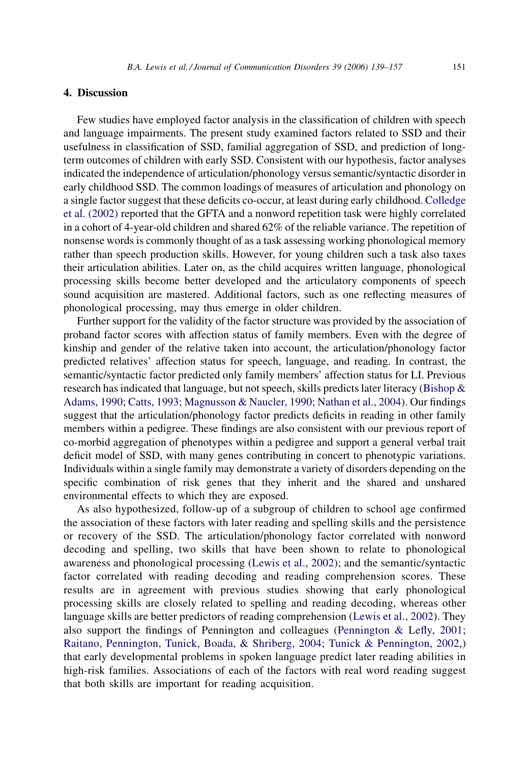# 4. Discussion

Few studies have employed factor analysis in the classification of children with speech and language impairments. The present study examined factors related to SSD and their usefulness in classification of SSD, familial aggregation of SSD, and prediction of longterm outcomes of children with early SSD. Consistent with our hypothesis, factor analyses indicated the independence of articulation/phonology versus semantic/syntactic disorder in early childhood SSD. The common loadings of measures of articulation and phonology on a single factor suggest that these deficits co-occur, at least during early childhood. [Colledge](#page-15-0) [et al. \(2002\)](#page-15-0) reported that the GFTA and a nonword repetition task were highly correlated in a cohort of 4-year-old children and shared 62% of the reliable variance. The repetition of nonsense words is commonly thought of as a task assessing working phonological memory rather than speech production skills. However, for young children such a task also taxes their articulation abilities. Later on, as the child acquires written language, phonological processing skills become better developed and the articulatory components of speech sound acquisition are mastered. Additional factors, such as one reflecting measures of phonological processing, may thus emerge in older children.

Further support for the validity of the factor structure was provided by the association of proband factor scores with affection status of family members. Even with the degree of kinship and gender of the relative taken into account, the articulation/phonology factor predicted relatives' affection status for speech, language, and reading. In contrast, the semantic/syntactic factor predicted only family members' affection status for LI. Previous research has indicated that language, but not speech, skills predicts later literacy [\(Bishop &](#page-15-0) [Adams, 1990;](#page-15-0) [Catts, 1993;](#page-15-0) [Magnusson & Naucler, 1990](#page-16-0); [Nathan et al., 2004\)](#page-16-0). Our findings suggest that the articulation/phonology factor predicts deficits in reading in other family members within a pedigree. These findings are also consistent with our previous report of co-morbid aggregation of phenotypes within a pedigree and support a general verbal trait deficit model of SSD, with many genes contributing in concert to phenotypic variations. Individuals within a single family may demonstrate a variety of disorders depending on the specific combination of risk genes that they inherit and the shared and unshared environmental effects to which they are exposed.

As also hypothesized, follow-up of a subgroup of children to school age confirmed the association of these factors with later reading and spelling skills and the persistence or recovery of the SSD. The articulation/phonology factor correlated with nonword decoding and spelling, two skills that have been shown to relate to phonological awareness and phonological processing ([Lewis et al., 2002\)](#page-16-0); and the semantic/syntactic factor correlated with reading decoding and reading comprehension scores. These results are in agreement with previous studies showing that early phonological processing skills are closely related to spelling and reading decoding, whereas other language skills are better predictors of reading comprehension ([Lewis et al., 2002](#page-16-0)). They also support the findings of Pennington and colleagues [\(Pennington & Lefly, 2001;](#page-16-0) [Raitano, Pennington, Tunick, Boada, & Shriberg, 2004;](#page-16-0) [Tunick & Pennington, 2002](#page-17-0),) that early developmental problems in spoken language predict later reading abilities in high-risk families. Associations of each of the factors with real word reading suggest that both skills are important for reading acquisition.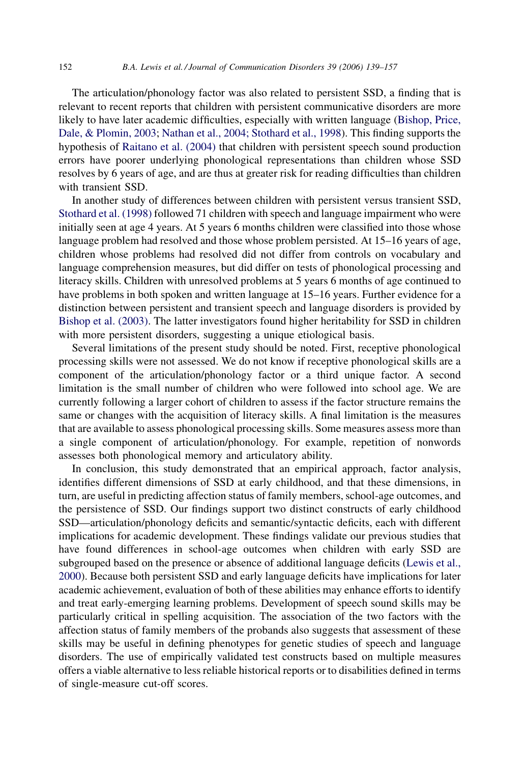The articulation/phonology factor was also related to persistent SSD, a finding that is relevant to recent reports that children with persistent communicative disorders are more likely to have later academic difficulties, especially with written language ([Bishop, Price,](#page-15-0) [Dale, & Plomin, 2003](#page-15-0); [Nathan et al., 2004; Stothard et al., 1998](#page-16-0)). This finding supports the hypothesis of [Raitano et al. \(2004\)](#page-16-0) that children with persistent speech sound production errors have poorer underlying phonological representations than children whose SSD resolves by 6 years of age, and are thus at greater risk for reading difficulties than children with transient SSD.

In another study of differences between children with persistent versus transient SSD, [Stothard et al. \(1998\)](#page-17-0) followed 71 children with speech and language impairment who were initially seen at age 4 years. At 5 years 6 months children were classified into those whose language problem had resolved and those whose problem persisted. At 15–16 years of age, children whose problems had resolved did not differ from controls on vocabulary and language comprehension measures, but did differ on tests of phonological processing and literacy skills. Children with unresolved problems at 5 years 6 months of age continued to have problems in both spoken and written language at 15–16 years. Further evidence for a distinction between persistent and transient speech and language disorders is provided by [Bishop et al. \(2003\)](#page-15-0). The latter investigators found higher heritability for SSD in children with more persistent disorders, suggesting a unique etiological basis.

Several limitations of the present study should be noted. First, receptive phonological processing skills were not assessed. We do not know if receptive phonological skills are a component of the articulation/phonology factor or a third unique factor. A second limitation is the small number of children who were followed into school age. We are currently following a larger cohort of children to assess if the factor structure remains the same or changes with the acquisition of literacy skills. A final limitation is the measures that are available to assess phonological processing skills. Some measures assess more than a single component of articulation/phonology. For example, repetition of nonwords assesses both phonological memory and articulatory ability.

In conclusion, this study demonstrated that an empirical approach, factor analysis, identifies different dimensions of SSD at early childhood, and that these dimensions, in turn, are useful in predicting affection status of family members, school-age outcomes, and the persistence of SSD. Our findings support two distinct constructs of early childhood SSD—articulation/phonology deficits and semantic/syntactic deficits, each with different implications for academic development. These findings validate our previous studies that have found differences in school-age outcomes when children with early SSD are subgrouped based on the presence or absence of additional language deficits [\(Lewis et al.,](#page-16-0) [2000](#page-16-0)). Because both persistent SSD and early language deficits have implications for later academic achievement, evaluation of both of these abilities may enhance efforts to identify and treat early-emerging learning problems. Development of speech sound skills may be particularly critical in spelling acquisition. The association of the two factors with the affection status of family members of the probands also suggests that assessment of these skills may be useful in defining phenotypes for genetic studies of speech and language disorders. The use of empirically validated test constructs based on multiple measures offers a viable alternative to less reliable historical reports or to disabilities defined in terms of single-measure cut-off scores.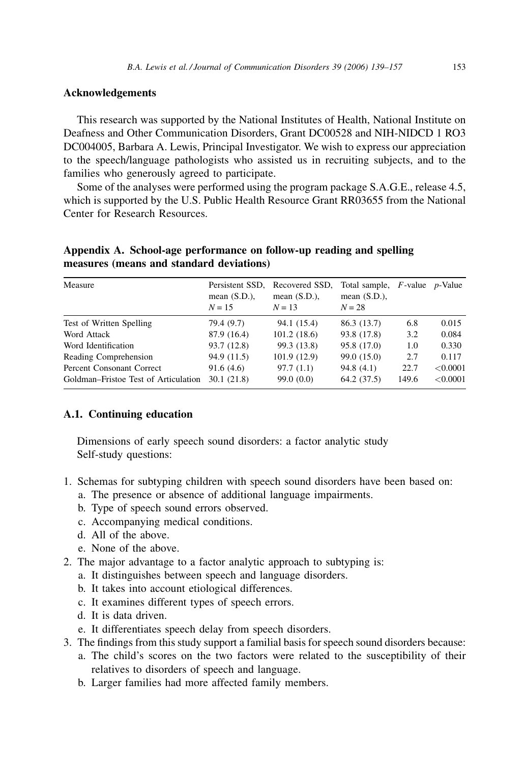# <span id="page-14-0"></span>Acknowledgements

This research was supported by the National Institutes of Health, National Institute on Deafness and Other Communication Disorders, Grant DC00528 and NIH-NIDCD 1 RO3 DC004005, Barbara A. Lewis, Principal Investigator. We wish to express our appreciation to the speech/language pathologists who assisted us in recruiting subjects, and to the families who generously agreed to participate.

Some of the analyses were performed using the program package S.A.G.E., release 4.5, which is supported by the U.S. Public Health Resource Grant RR03655 from the National Center for Research Resources.

| Measure                              | Persistent SSD,<br>mean $(S.D.)$ ,<br>$N = 15$ | Recovered SSD.<br>mean $(S.D.)$ ,<br>$N = 13$ | Total sample, $F$ -value $p$ -Value<br>mean $(S.D.)$ ,<br>$N = 28$ |       |          |
|--------------------------------------|------------------------------------------------|-----------------------------------------------|--------------------------------------------------------------------|-------|----------|
| Test of Written Spelling             | 79.4 (9.7)                                     | 94.1 (15.4)                                   | 86.3 (13.7)                                                        | 6.8   | 0.015    |
| Word Attack                          | 87.9 (16.4)                                    | 101.2(18.6)                                   | 93.8 (17.8)                                                        | 3.2   | 0.084    |
| Word Identification                  | 93.7 (12.8)                                    | 99.3 (13.8)                                   | 95.8 (17.0)                                                        | 1.0   | 0.330    |
| Reading Comprehension                | 94.9 (11.5)                                    | 101.9 (12.9)                                  | 99.0 (15.0)                                                        | 2.7   | 0.117    |
| Percent Consonant Correct            | 91.6(4.6)                                      | 97.7(1.1)                                     | 94.8(4.1)                                                          | 22.7  | < 0.0001 |
| Goldman–Fristoe Test of Articulation | 30.1(21.8)                                     | 99.0(0.0)                                     | 64.2 (37.5)                                                        | 149.6 | < 0.0001 |

Appendix A. School-age performance on follow-up reading and spelling measures (means and standard deviations)

## A.1. Continuing education

Dimensions of early speech sound disorders: a factor analytic study Self-study questions:

- 1. Schemas for subtyping children with speech sound disorders have been based on:
	- a. The presence or absence of additional language impairments.
	- b. Type of speech sound errors observed.
	- c. Accompanying medical conditions.
	- d. All of the above.
	- e. None of the above.
- 2. The major advantage to a factor analytic approach to subtyping is:
	- a. It distinguishes between speech and language disorders.
	- b. It takes into account etiological differences.
	- c. It examines different types of speech errors.
	- d. It is data driven.
	- e. It differentiates speech delay from speech disorders.
- 3. The findings from this study support a familial basis for speech sound disorders because:
	- a. The child's scores on the two factors were related to the susceptibility of their relatives to disorders of speech and language.
	- b. Larger families had more affected family members.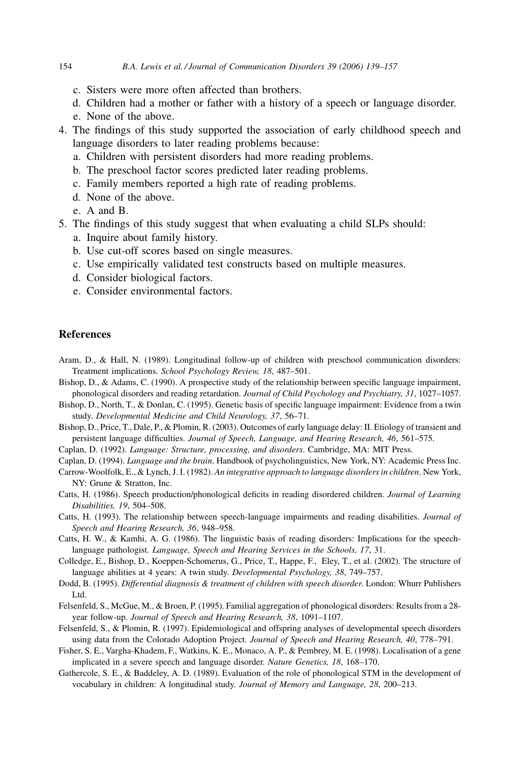## <span id="page-15-0"></span>154 B.A. Lewis et al. / Journal of Communication Disorders 39 (2006) 139–157

- c. Sisters were more often affected than brothers.
- d. Children had a mother or father with a history of a speech or language disorder.
- e. None of the above.
- 4. The findings of this study supported the association of early childhood speech and language disorders to later reading problems because:
	- a. Children with persistent disorders had more reading problems.
	- b. The preschool factor scores predicted later reading problems.
	- c. Family members reported a high rate of reading problems.
	- d. None of the above.
	- e. A and B.
- 5. The findings of this study suggest that when evaluating a child SLPs should:
	- a. Inquire about family history.
	- b. Use cut-off scores based on single measures.
	- c. Use empirically validated test constructs based on multiple measures.
	- d. Consider biological factors.
	- e. Consider environmental factors.

# References

- Aram, D., & Hall, N. (1989). Longitudinal follow-up of children with preschool communication disorders: Treatment implications. School Psychology Review, 18, 487–501.
- Bishop, D., & Adams, C. (1990). A prospective study of the relationship between specific language impairment, phonological disorders and reading retardation. Journal of Child Psychology and Psychiatry, 31, 1027–1057.
- Bishop, D., North, T., & Donlan, C. (1995). Genetic basis of specific language impairment: Evidence from a twin study. Developmental Medicine and Child Neurology, 37, 56–71.
- Bishop, D., Price, T., Dale, P., & Plomin, R. (2003). Outcomes of early language delay: II. Etiology of transient and persistent language difficulties. Journal of Speech, Language, and Hearing Research, 46, 561–575.
- Caplan, D. (1992). Language: Structure, processing, and disorders. Cambridge, MA: MIT Press.
- Caplan, D. (1994). Language and the brain. Handbook of psycholinguistics, New York, NY: Academic Press Inc.

Carrow-Woolfolk, E., & Lynch, J. I. (1982). An integrative approach to language disorders in children. New York, NY: Grune & Stratton, Inc.

- Catts, H. (1986). Speech production/phonological deficits in reading disordered children. Journal of Learning Disabilities, 19, 504–508.
- Catts, H. (1993). The relationship between speech-language impairments and reading disabilities. Journal of Speech and Hearing Research, 36, 948–958.
- Catts, H. W., & Kamhi, A. G. (1986). The linguistic basis of reading disorders: Implications for the speechlanguage pathologist. Language, Speech and Hearing Services in the Schools, 17, 31.
- Colledge, E., Bishop, D., Koeppen-Schomerus, G., Price, T., Happe, F., Eley, T., et al. (2002). The structure of language abilities at 4 years: A twin study. Developmental Psychology, 38, 749–757.
- Dodd, B. (1995). Differential diagnosis & treatment of children with speech disorder. London: Whurr Publishers Ltd.
- Felsenfeld, S., McGue, M., & Broen, P. (1995). Familial aggregation of phonological disorders: Results from a 28 year follow-up. Journal of Speech and Hearing Research, 38, 1091–1107.
- Felsenfeld, S., & Plomin, R. (1997). Epidemiological and offspring analyses of developmental speech disorders using data from the Colorado Adoption Project. Journal of Speech and Hearing Research, 40, 778-791.
- Fisher, S. E., Vargha-Khadem, F., Watkins, K. E., Monaco, A. P., & Pembrey, M. E. (1998). Localisation of a gene implicated in a severe speech and language disorder. Nature Genetics, 18, 168–170.
- Gathercole, S. E., & Baddeley, A. D. (1989). Evaluation of the role of phonological STM in the development of vocabulary in children: A longitudinal study. Journal of Memory and Language, 28, 200–213.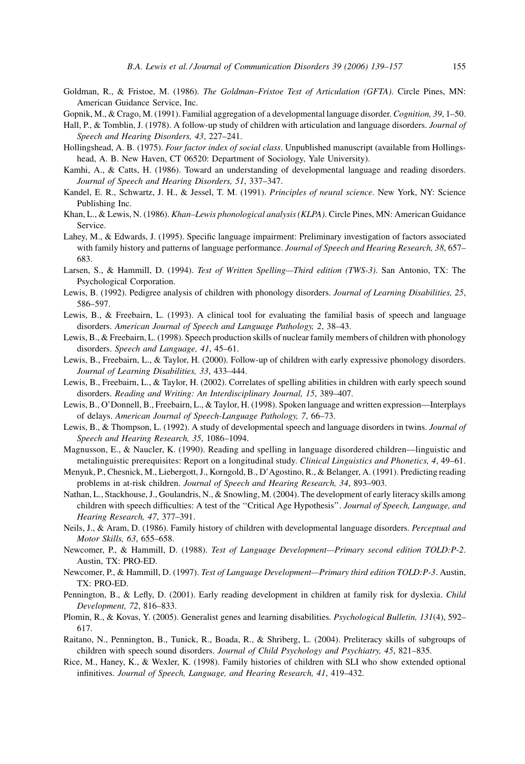- <span id="page-16-0"></span>Goldman, R., & Fristoe, M. (1986). The Goldman–Fristoe Test of Articulation (GFTA). Circle Pines, MN: American Guidance Service, Inc.
- Gopnik, M., & Crago, M. (1991). Familial aggregation of a developmental language disorder. Cognition, 39, 1–50.
- Hall, P., & Tomblin, J. (1978). A follow-up study of children with articulation and language disorders. *Journal of* Speech and Hearing Disorders, 43, 227–241.
- Hollingshead, A. B. (1975). Four factor index of social class. Unpublished manuscript (available from Hollingshead, A. B. New Haven, CT 06520: Department of Sociology, Yale University).
- Kamhi, A., & Catts, H. (1986). Toward an understanding of developmental language and reading disorders. Journal of Speech and Hearing Disorders, 51, 337–347.
- Kandel, E. R., Schwartz, J. H., & Jessel, T. M. (1991). Principles of neural science. New York, NY: Science Publishing Inc.
- Khan, L., & Lewis, N. (1986). Khan–Lewis phonological analysis (KLPA). Circle Pines, MN: American Guidance Service.
- Lahey, M., & Edwards, J. (1995). Specific language impairment: Preliminary investigation of factors associated with family history and patterns of language performance. Journal of Speech and Hearing Research, 38, 657-683.
- Larsen, S., & Hammill, D. (1994). Test of Written Spelling—Third edition (TWS-3). San Antonio, TX: The Psychological Corporation.
- Lewis, B. (1992). Pedigree analysis of children with phonology disorders. Journal of Learning Disabilities, 25, 586–597.
- Lewis, B., & Freebairn, L. (1993). A clinical tool for evaluating the familial basis of speech and language disorders. American Journal of Speech and Language Pathology, 2, 38–43.
- Lewis, B., & Freebairn, L. (1998). Speech production skills of nuclear family members of children with phonology disorders. Speech and Language, 41, 45–61.
- Lewis, B., Freebairn, L., & Taylor, H. (2000). Follow-up of children with early expressive phonology disorders. Journal of Learning Disabilities, 33, 433–444.
- Lewis, B., Freebairn, L., & Taylor, H. (2002). Correlates of spelling abilities in children with early speech sound disorders. Reading and Writing: An Interdisciplinary Journal, 15, 389–407.
- Lewis, B., O'Donnell, B., Freebairn, L., & Taylor, H. (1998). Spoken language and written expression—Interplays of delays. American Journal of Speech-Language Pathology, 7, 66–73.
- Lewis, B., & Thompson, L. (1992). A study of developmental speech and language disorders in twins. Journal of Speech and Hearing Research, 35, 1086–1094.
- Magnusson, E., & Naucler, K. (1990). Reading and spelling in language disordered children—linguistic and metalinguistic prerequisites: Report on a longitudinal study. Clinical Linguistics and Phonetics, 4, 49–61.
- Menyuk, P., Chesnick, M., Liebergott, J., Korngold, B., D'Agostino, R., & Belanger, A. (1991). Predicting reading problems in at-risk children. Journal of Speech and Hearing Research, 34, 893–903.
- Nathan, L., Stackhouse, J., Goulandris, N., & Snowling, M. (2004). The development of early literacy skills among children with speech difficulties: A test of the ''Critical Age Hypothesis''. Journal of Speech, Language, and Hearing Research, 47, 377–391.
- Neils, J., & Aram, D. (1986). Family history of children with developmental language disorders. Perceptual and Motor Skills, 63, 655–658.
- Newcomer, P., & Hammill, D. (1988). Test of Language Development—Primary second edition TOLD:P-2. Austin, TX: PRO-ED.
- Newcomer, P., & Hammill, D. (1997). Test of Language Development—Primary third edition TOLD:P-3. Austin, TX: PRO-ED.
- Pennington, B., & Lefly, D. (2001). Early reading development in children at family risk for dyslexia. Child Development, 72, 816–833.
- Plomin, R., & Kovas, Y. (2005). Generalist genes and learning disabilities. Psychological Bulletin, 131(4), 592– 617.
- Raitano, N., Pennington, B., Tunick, R., Boada, R., & Shriberg, L. (2004). Preliteracy skills of subgroups of children with speech sound disorders. Journal of Child Psychology and Psychiatry, 45, 821–835.
- Rice, M., Haney, K., & Wexler, K. (1998). Family histories of children with SLI who show extended optional infinitives. Journal of Speech, Language, and Hearing Research, 41, 419–432.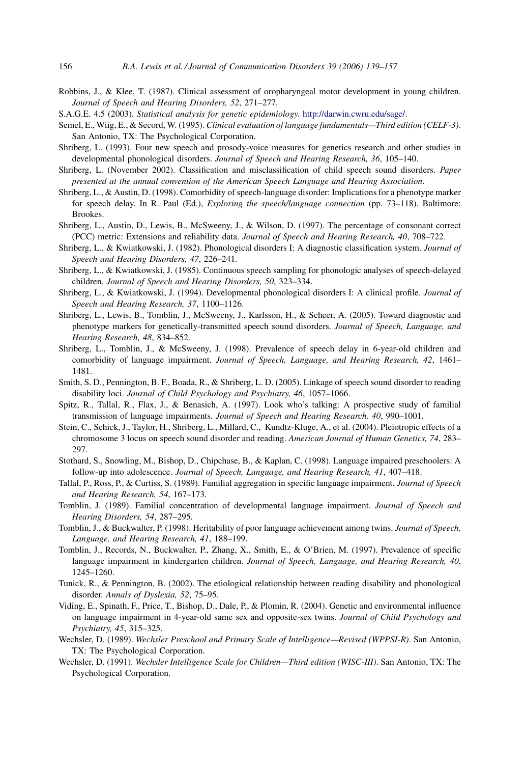- <span id="page-17-0"></span>Robbins, J., & Klee, T. (1987). Clinical assessment of oropharyngeal motor development in young children. Journal of Speech and Hearing Disorders, 52, 271–277.
- S.A.G.E. 4.5 (2003). Statistical analysis for genetic epidemiology. <http://darwin.cwru.edu/sage/>.
- Semel, E., Wiig, E., & Secord, W. (1995). Clinical evaluation of language fundamentals—Third edition (CELF-3). San Antonio, TX: The Psychological Corporation.
- Shriberg, L. (1993). Four new speech and prosody-voice measures for genetics research and other studies in developmental phonological disorders. Journal of Speech and Hearing Research, 36, 105–140.
- Shriberg, L. (November 2002). Classification and misclassification of child speech sound disorders. Paper presented at the annual convention of the American Speech Language and Hearing Association.
- Shriberg, L., & Austin, D. (1998). Comorbidity of speech-language disorder: Implications for a phenotype marker for speech delay. In R. Paul (Ed.), *Exploring the speech/language connection* (pp. 73–118). Baltimore: Brookes.
- Shriberg, L., Austin, D., Lewis, B., McSweeny, J., & Wilson, D. (1997). The percentage of consonant correct (PCC) metric: Extensions and reliability data. Journal of Speech and Hearing Research, 40, 708–722.
- Shriberg, L., & Kwiatkowski, J. (1982). Phonological disorders I: A diagnostic classification system. Journal of Speech and Hearing Disorders, 47, 226–241.
- Shriberg, L., & Kwiatkowski, J. (1985). Continuous speech sampling for phonologic analyses of speech-delayed children. Journal of Speech and Hearing Disorders, 50, 323–334.
- Shriberg, L., & Kwiatkowski, J. (1994). Developmental phonological disorders I: A clinical profile. Journal of Speech and Hearing Research, 37, 1100–1126.
- Shriberg, L., Lewis, B., Tomblin, J., McSweeny, J., Karlsson, H., & Scheer, A. (2005). Toward diagnostic and phenotype markers for genetically-transmitted speech sound disorders. Journal of Speech, Language, and Hearing Research, 48, 834–852.
- Shriberg, L., Tomblin, J., & McSweeny, J. (1998). Prevalence of speech delay in 6-year-old children and comorbidity of language impairment. Journal of Speech, Language, and Hearing Research, 42, 1461-1481.
- Smith, S. D., Pennington, B. F., Boada, R., & Shriberg, L. D. (2005). Linkage of speech sound disorder to reading disability loci. Journal of Child Psychology and Psychiatry, 46, 1057–1066.
- Spitz, R., Tallal, R., Flax, J., & Benasich, A. (1997). Look who's talking: A prospective study of familial transmission of language impairments. Journal of Speech and Hearing Research, 40, 990–1001.
- Stein, C., Schick, J., Taylor, H., Shriberg, L., Millard, C., Kundtz-Kluge, A., et al. (2004). Pleiotropic effects of a chromosome 3 locus on speech sound disorder and reading. American Journal of Human Genetics, 74, 283– 297.
- Stothard, S., Snowling, M., Bishop, D., Chipchase, B., & Kaplan, C. (1998). Language impaired preschoolers: A follow-up into adolescence. Journal of Speech, Language, and Hearing Research, 41, 407–418.
- Tallal, P., Ross, P., & Curtiss, S. (1989). Familial aggregation in specific language impairment. Journal of Speech and Hearing Research, 54, 167–173.
- Tomblin, J. (1989). Familial concentration of developmental language impairment. Journal of Speech and Hearing Disorders, 54, 287–295.
- Tomblin, J., & Buckwalter, P. (1998). Heritability of poor language achievement among twins. Journal of Speech, Language, and Hearing Research, 41, 188–199.
- Tomblin, J., Records, N., Buckwalter, P., Zhang, X., Smith, E., & O'Brien, M. (1997). Prevalence of specific language impairment in kindergarten children. Journal of Speech, Language, and Hearing Research, 40, 1245–1260.
- Tunick, R., & Pennington, B. (2002). The etiological relationship between reading disability and phonological disorder. Annals of Dyslexia, 52, 75–95.
- Viding, E., Spinath, F., Price, T., Bishop, D., Dale, P., & Plomin, R. (2004). Genetic and environmental influence on language impairment in 4-year-old same sex and opposite-sex twins. Journal of Child Psychology and Psychiatry, 45, 315–325.
- Wechsler, D. (1989). Wechsler Preschool and Primary Scale of Intelligence—Revised (WPPSI-R). San Antonio, TX: The Psychological Corporation.
- Wechsler, D. (1991). Wechsler Intelligence Scale for Children—Third edition (WISC-III). San Antonio, TX: The Psychological Corporation.